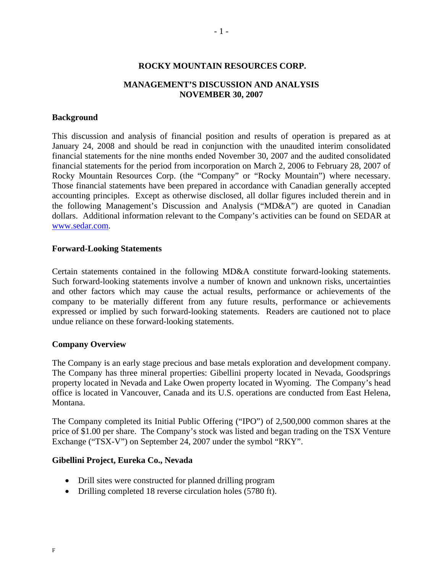#### **ROCKY MOUNTAIN RESOURCES CORP.**

### **MANAGEMENT'S DISCUSSION AND ANALYSIS NOVEMBER 30, 2007**

#### **Background**

This discussion and analysis of financial position and results of operation is prepared as at January 24, 2008 and should be read in conjunction with the unaudited interim consolidated financial statements for the nine months ended November 30, 2007 and the audited consolidated financial statements for the period from incorporation on March 2, 2006 to February 28, 2007 of Rocky Mountain Resources Corp. (the "Company" or "Rocky Mountain") where necessary. Those financial statements have been prepared in accordance with Canadian generally accepted accounting principles. Except as otherwise disclosed, all dollar figures included therein and in the following Management's Discussion and Analysis ("MD&A") are quoted in Canadian dollars. Additional information relevant to the Company's activities can be found on SEDAR at www.sedar.com.

#### **Forward-Looking Statements**

Certain statements contained in the following MD&A constitute forward-looking statements. Such forward-looking statements involve a number of known and unknown risks, uncertainties and other factors which may cause the actual results, performance or achievements of the company to be materially different from any future results, performance or achievements expressed or implied by such forward-looking statements. Readers are cautioned not to place undue reliance on these forward-looking statements.

### **Company Overview**

The Company is an early stage precious and base metals exploration and development company. The Company has three mineral properties: Gibellini property located in Nevada, Goodsprings property located in Nevada and Lake Owen property located in Wyoming. The Company's head office is located in Vancouver, Canada and its U.S. operations are conducted from East Helena, Montana.

The Company completed its Initial Public Offering ("IPO") of 2,500,000 common shares at the price of \$1.00 per share. The Company's stock was listed and began trading on the TSX Venture Exchange ("TSX-V") on September 24, 2007 under the symbol "RKY".

#### **Gibellini Project, Eureka Co., Nevada**

- Drill sites were constructed for planned drilling program
- Drilling completed 18 reverse circulation holes (5780 ft).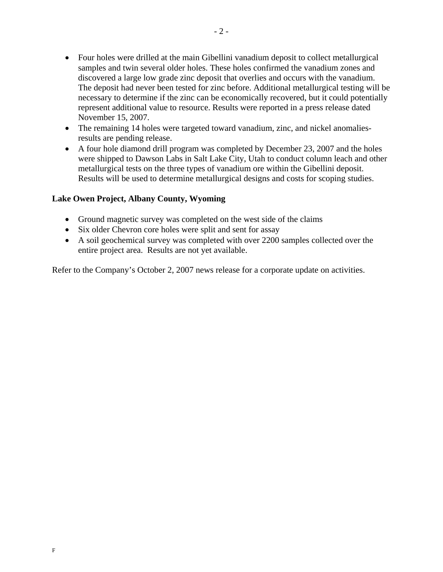- Four holes were drilled at the main Gibellini vanadium deposit to collect metallurgical samples and twin several older holes. These holes confirmed the vanadium zones and discovered a large low grade zinc deposit that overlies and occurs with the vanadium. The deposit had never been tested for zinc before. Additional metallurgical testing will be necessary to determine if the zinc can be economically recovered, but it could potentially represent additional value to resource. Results were reported in a press release dated November 15, 2007.
- The remaining 14 holes were targeted toward vanadium, zinc, and nickel anomaliesresults are pending release.
- A four hole diamond drill program was completed by December 23, 2007 and the holes were shipped to Dawson Labs in Salt Lake City, Utah to conduct column leach and other metallurgical tests on the three types of vanadium ore within the Gibellini deposit. Results will be used to determine metallurgical designs and costs for scoping studies.

# **Lake Owen Project, Albany County, Wyoming**

- Ground magnetic survey was completed on the west side of the claims
- Six older Chevron core holes were split and sent for assay
- A soil geochemical survey was completed with over 2200 samples collected over the entire project area. Results are not yet available.

Refer to the Company's October 2, 2007 news release for a corporate update on activities.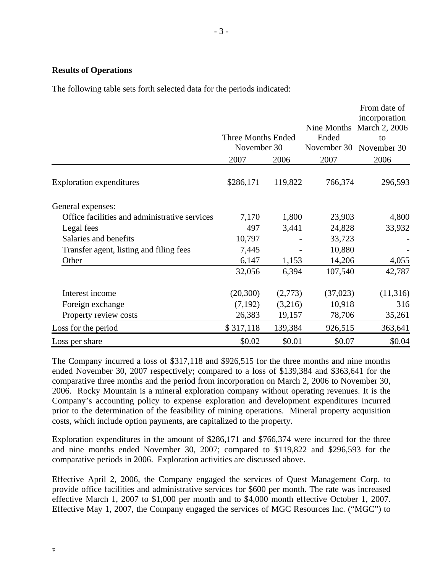### **Results of Operations**

The following table sets forth selected data for the periods indicated:

|                                               | <b>Three Months Ended</b><br>November 30<br>2007 | 2006    | Nine Months<br>Ended<br>November 30<br>2007 | From date of<br>incorporation<br>March 2, 2006<br>to<br>November 30<br>2006 |
|-----------------------------------------------|--------------------------------------------------|---------|---------------------------------------------|-----------------------------------------------------------------------------|
| <b>Exploration expenditures</b>               | \$286,171                                        | 119,822 | 766,374                                     | 296,593                                                                     |
| General expenses:                             |                                                  |         |                                             |                                                                             |
| Office facilities and administrative services | 7,170                                            | 1,800   | 23,903                                      | 4,800                                                                       |
| Legal fees                                    | 497                                              | 3,441   | 24,828                                      | 33,932                                                                      |
| Salaries and benefits                         | 10,797                                           |         | 33,723                                      |                                                                             |
| Transfer agent, listing and filing fees       | 7,445                                            |         | 10,880                                      |                                                                             |
| Other                                         | 6,147                                            | 1,153   | 14,206                                      | 4,055                                                                       |
|                                               | 32,056                                           | 6,394   | 107,540                                     | 42,787                                                                      |
| Interest income                               | (20,300)                                         | (2,773) | (37,023)                                    | (11,316)                                                                    |
| Foreign exchange                              | (7,192)                                          | (3,216) | 10,918                                      | 316                                                                         |
| Property review costs                         | 26,383                                           | 19,157  | 78,706                                      | 35,261                                                                      |
| Loss for the period                           | \$317,118                                        | 139,384 | 926,515                                     | 363,641                                                                     |
| Loss per share                                | \$0.02                                           | \$0.01  | \$0.07                                      | \$0.04                                                                      |

The Company incurred a loss of \$317,118 and \$926,515 for the three months and nine months ended November 30, 2007 respectively; compared to a loss of \$139,384 and \$363,641 for the comparative three months and the period from incorporation on March 2, 2006 to November 30, 2006. Rocky Mountain is a mineral exploration company without operating revenues. It is the Company's accounting policy to expense exploration and development expenditures incurred prior to the determination of the feasibility of mining operations. Mineral property acquisition costs, which include option payments, are capitalized to the property.

Exploration expenditures in the amount of \$286,171 and \$766,374 were incurred for the three and nine months ended November 30, 2007; compared to \$119,822 and \$296,593 for the comparative periods in 2006. Exploration activities are discussed above.

Effective April 2, 2006, the Company engaged the services of Quest Management Corp. to provide office facilities and administrative services for \$600 per month. The rate was increased effective March 1, 2007 to \$1,000 per month and to \$4,000 month effective October 1, 2007. Effective May 1, 2007, the Company engaged the services of MGC Resources Inc. ("MGC") to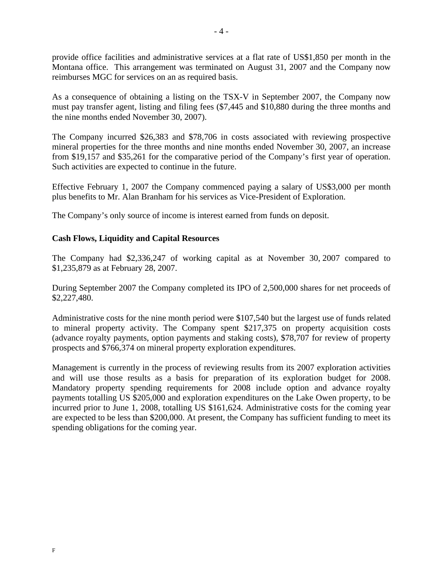provide office facilities and administrative services at a flat rate of US\$1,850 per month in the Montana office. This arrangement was terminated on August 31, 2007 and the Company now reimburses MGC for services on an as required basis.

As a consequence of obtaining a listing on the TSX-V in September 2007, the Company now must pay transfer agent, listing and filing fees (\$7,445 and \$10,880 during the three months and the nine months ended November 30, 2007).

The Company incurred \$26,383 and \$78,706 in costs associated with reviewing prospective mineral properties for the three months and nine months ended November 30, 2007, an increase from \$19,157 and \$35,261 for the comparative period of the Company's first year of operation. Such activities are expected to continue in the future.

Effective February 1, 2007 the Company commenced paying a salary of US\$3,000 per month plus benefits to Mr. Alan Branham for his services as Vice-President of Exploration.

The Company's only source of income is interest earned from funds on deposit.

# **Cash Flows, Liquidity and Capital Resources**

The Company had \$2,336,247 of working capital as at November 30, 2007 compared to \$1,235,879 as at February 28, 2007.

During September 2007 the Company completed its IPO of 2,500,000 shares for net proceeds of \$2,227,480.

Administrative costs for the nine month period were \$107,540 but the largest use of funds related to mineral property activity. The Company spent \$217,375 on property acquisition costs (advance royalty payments, option payments and staking costs), \$78,707 for review of property prospects and \$766,374 on mineral property exploration expenditures.

Management is currently in the process of reviewing results from its 2007 exploration activities and will use those results as a basis for preparation of its exploration budget for 2008. Mandatory property spending requirements for 2008 include option and advance royalty payments totalling US \$205,000 and exploration expenditures on the Lake Owen property, to be incurred prior to June 1, 2008, totalling US \$161,624. Administrative costs for the coming year are expected to be less than \$200,000. At present, the Company has sufficient funding to meet its spending obligations for the coming year.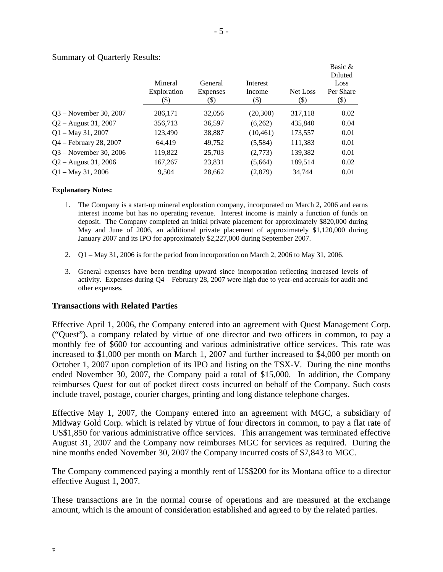|                           |                                |                             |                            |                  | Basic &                                |
|---------------------------|--------------------------------|-----------------------------|----------------------------|------------------|----------------------------------------|
|                           | Mineral<br>Exploration<br>(\$) | General<br>Expenses<br>(\$) | Interest<br>Income<br>(\$) | Net Loss<br>(\$) | Diluted<br>Loss<br>Per Share<br>$(\$)$ |
| $Q3$ – November 30, 2007  | 286,171                        | 32,056                      | (20,300)                   | 317,118          | 0.02                                   |
| $Q2 -$ August 31, 2007    | 356,713                        | 36,597                      | (6,262)                    | 435,840          | 0.04                                   |
| $Q1 - May 31, 2007$       | 123,490                        | 38,887                      | (10, 461)                  | 173,557          | 0.01                                   |
| $Q4 - February\ 28, 2007$ | 64,419                         | 49,752                      | (5,584)                    | 111,383          | 0.01                                   |
| $Q3 - November 30, 2006$  | 119,822                        | 25,703                      | (2,773)                    | 139,382          | 0.01                                   |
| $Q2 -$ August 31, 2006    | 167,267                        | 23,831                      | (5,664)                    | 189,514          | 0.02                                   |
| $Q1 - May\,31, 2006$      | 9.504                          | 28,662                      | (2,879)                    | 34.744           | 0.01                                   |

Summary of Quarterly Results:

#### **Explanatory Notes:**

- 1. The Company is a start-up mineral exploration company, incorporated on March 2, 2006 and earns interest income but has no operating revenue. Interest income is mainly a function of funds on deposit. The Company completed an initial private placement for approximately \$820,000 during May and June of 2006, an additional private placement of approximately \$1,120,000 during January 2007 and its IPO for approximately \$2,227,000 during September 2007.
- 2. Q1 May 31, 2006 is for the period from incorporation on March 2, 2006 to May 31, 2006.
- 3. General expenses have been trending upward since incorporation reflecting increased levels of activity. Expenses during Q4 – February 28, 2007 were high due to year-end accruals for audit and other expenses.

### **Transactions with Related Parties**

Effective April 1, 2006, the Company entered into an agreement with Quest Management Corp. ("Quest"), a company related by virtue of one director and two officers in common, to pay a monthly fee of \$600 for accounting and various administrative office services. This rate was increased to \$1,000 per month on March 1, 2007 and further increased to \$4,000 per month on October 1, 2007 upon completion of its IPO and listing on the TSX-V. During the nine months ended November 30, 2007, the Company paid a total of \$15,000. In addition, the Company reimburses Quest for out of pocket direct costs incurred on behalf of the Company. Such costs include travel, postage, courier charges, printing and long distance telephone charges.

Effective May 1, 2007, the Company entered into an agreement with MGC, a subsidiary of Midway Gold Corp. which is related by virtue of four directors in common, to pay a flat rate of US\$1,850 for various administrative office services. This arrangement was terminated effective August 31, 2007 and the Company now reimburses MGC for services as required. During the nine months ended November 30, 2007 the Company incurred costs of \$7,843 to MGC.

The Company commenced paying a monthly rent of US\$200 for its Montana office to a director effective August 1, 2007.

These transactions are in the normal course of operations and are measured at the exchange amount, which is the amount of consideration established and agreed to by the related parties.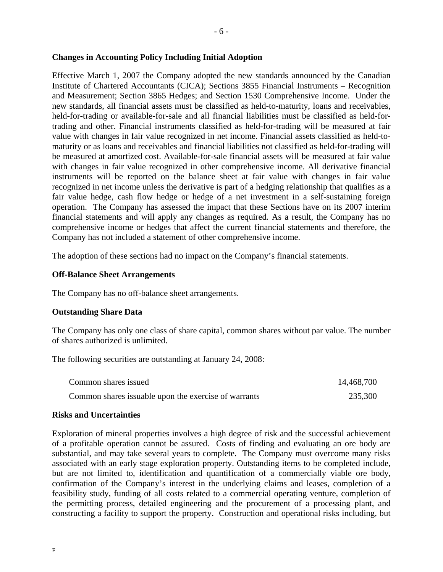### **Changes in Accounting Policy Including Initial Adoption**

Effective March 1, 2007 the Company adopted the new standards announced by the Canadian Institute of Chartered Accountants (CICA); Sections 3855 Financial Instruments – Recognition and Measurement; Section 3865 Hedges; and Section 1530 Comprehensive Income. Under the new standards, all financial assets must be classified as held-to-maturity, loans and receivables, held-for-trading or available-for-sale and all financial liabilities must be classified as held-fortrading and other. Financial instruments classified as held-for-trading will be measured at fair value with changes in fair value recognized in net income. Financial assets classified as held-tomaturity or as loans and receivables and financial liabilities not classified as held-for-trading will be measured at amortized cost. Available-for-sale financial assets will be measured at fair value with changes in fair value recognized in other comprehensive income. All derivative financial instruments will be reported on the balance sheet at fair value with changes in fair value recognized in net income unless the derivative is part of a hedging relationship that qualifies as a fair value hedge, cash flow hedge or hedge of a net investment in a self-sustaining foreign operation. The Company has assessed the impact that these Sections have on its 2007 interim financial statements and will apply any changes as required. As a result, the Company has no comprehensive income or hedges that affect the current financial statements and therefore, the Company has not included a statement of other comprehensive income.

The adoption of these sections had no impact on the Company's financial statements.

# **Off-Balance Sheet Arrangements**

The Company has no off-balance sheet arrangements.

# **Outstanding Share Data**

The Company has only one class of share capital, common shares without par value. The number of shares authorized is unlimited.

The following securities are outstanding at January 24, 2008:

| Common shares issued                                  | 14,468,700 |
|-------------------------------------------------------|------------|
| Common shares is suable upon the exercise of warrants | 235,300    |

### **Risks and Uncertainties**

Exploration of mineral properties involves a high degree of risk and the successful achievement of a profitable operation cannot be assured. Costs of finding and evaluating an ore body are substantial, and may take several years to complete. The Company must overcome many risks associated with an early stage exploration property. Outstanding items to be completed include, but are not limited to, identification and quantification of a commercially viable ore body, confirmation of the Company's interest in the underlying claims and leases, completion of a feasibility study, funding of all costs related to a commercial operating venture, completion of the permitting process, detailed engineering and the procurement of a processing plant, and constructing a facility to support the property. Construction and operational risks including, but